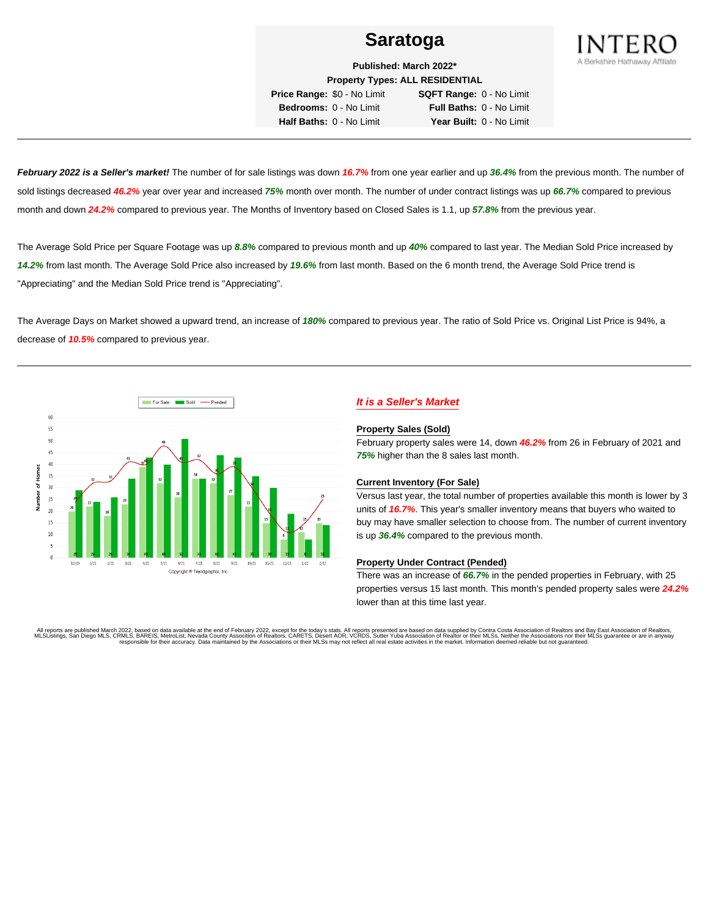

**Published: March 2022\* Property Types: ALL RESIDENTIAL**

**Price Range:** \$0 - No Limit **SQFT Range:** 0 - No Limit **Bedrooms:** 0 - No Limit **Full Baths:** 0 - No Limit **Half Baths:** 0 - No Limit **Year Built:** 0 - No Limit

**February 2022 is a Seller's market!** The number of for sale listings was down **16.7%** from one year earlier and up **36.4%** from the previous month. The number of sold listings decreased **46.2%** year over year and increased **75%** month over month. The number of under contract listings was up **66.7%** compared to previous month and down **24.2%** compared to previous year. The Months of Inventory based on Closed Sales is 1.1, up **57.8%** from the previous year.

The Average Sold Price per Square Footage was up **8.8%** compared to previous month and up **40%** compared to last year. The Median Sold Price increased by **14.2%** from last month. The Average Sold Price also increased by **19.6%** from last month. Based on the 6 month trend, the Average Sold Price trend is "Appreciating" and the Median Sold Price trend is "Appreciating".

The Average Days on Market showed a upward trend, an increase of **180%** compared to previous year. The ratio of Sold Price vs. Original List Price is 94%, a decrease of **10.5%** compared to previous year.



# **It is a Seller's Market**

#### **Property Sales (Sold)**

February property sales were 14, down **46.2%** from 26 in February of 2021 and **75%** higher than the 8 sales last month.

### **Current Inventory (For Sale)**

Versus last year, the total number of properties available this month is lower by 3 units of **16.7%**. This year's smaller inventory means that buyers who waited to buy may have smaller selection to choose from. The number of current inventory is up **36.4%** compared to the previous month.

### **Property Under Contract (Pended)**

There was an increase of **66.7%** in the pended properties in February, with 25 properties versus 15 last month. This month's pended property sales were **24.2%** lower than at this time last year.

All reports are published March 2022, based on data available at the end of February 2022, except for the today's stats. All reports presented are based on data supplied by Contra Costa Association of Realtors and Bay East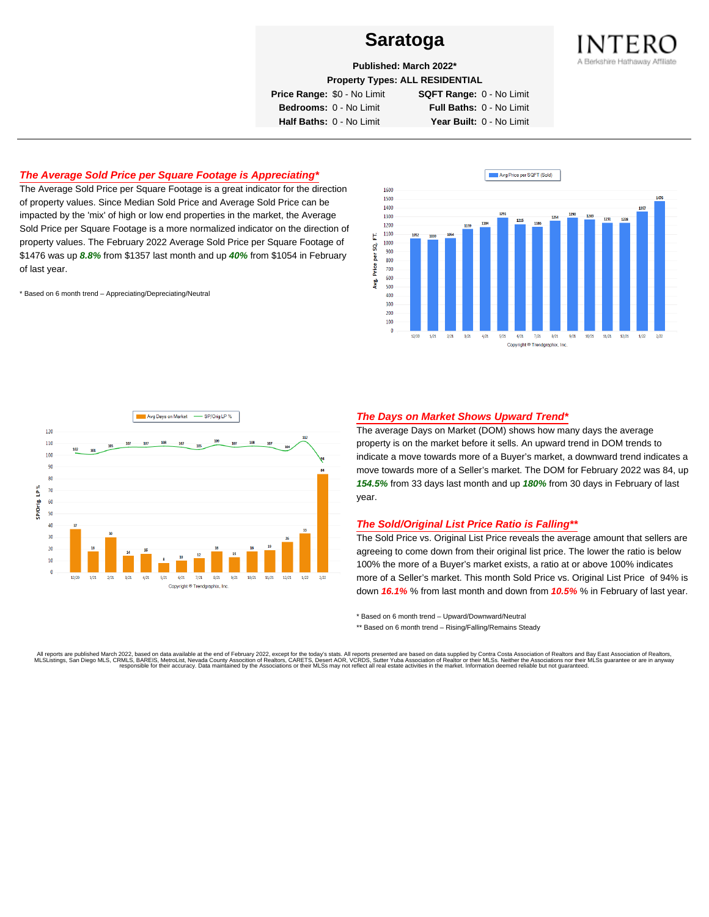

**Published: March 2022\***

**Property Types: ALL RESIDENTIAL**

**Price Range:** \$0 - No Limit **SQFT Range:** 0 - No Limit

**Bedrooms:** 0 - No Limit **Full Baths:** 0 - No Limit **Half Baths:** 0 - No Limit **Year Built:** 0 - No Limit

# **The Average Sold Price per Square Footage is Appreciating\***

The Average Sold Price per Square Footage is a great indicator for the direction of property values. Since Median Sold Price and Average Sold Price can be impacted by the 'mix' of high or low end properties in the market, the Average Sold Price per Square Footage is a more normalized indicator on the direction of property values. The February 2022 Average Sold Price per Square Footage of \$1476 was up **8.8%** from \$1357 last month and up **40%** from \$1054 in February of last year.

\* Based on 6 month trend – Appreciating/Depreciating/Neutral





### **The Days on Market Shows Upward Trend\***

The average Days on Market (DOM) shows how many days the average property is on the market before it sells. An upward trend in DOM trends to indicate a move towards more of a Buyer's market, a downward trend indicates a move towards more of a Seller's market. The DOM for February 2022 was 84, up **154.5%** from 33 days last month and up **180%** from 30 days in February of last year.

### **The Sold/Original List Price Ratio is Falling\*\***

The Sold Price vs. Original List Price reveals the average amount that sellers are agreeing to come down from their original list price. The lower the ratio is below 100% the more of a Buyer's market exists, a ratio at or above 100% indicates more of a Seller's market. This month Sold Price vs. Original List Price of 94% is down **16.1%** % from last month and down from **10.5%** % in February of last year.

\* Based on 6 month trend – Upward/Downward/Neutral

\*\* Based on 6 month trend - Rising/Falling/Remains Steady

All reports are published March 2022, based on data available at the end of February 2022, except for the today's stats. All reports presented are based on data supplied by Contra Costa Association of Realtors and Bay East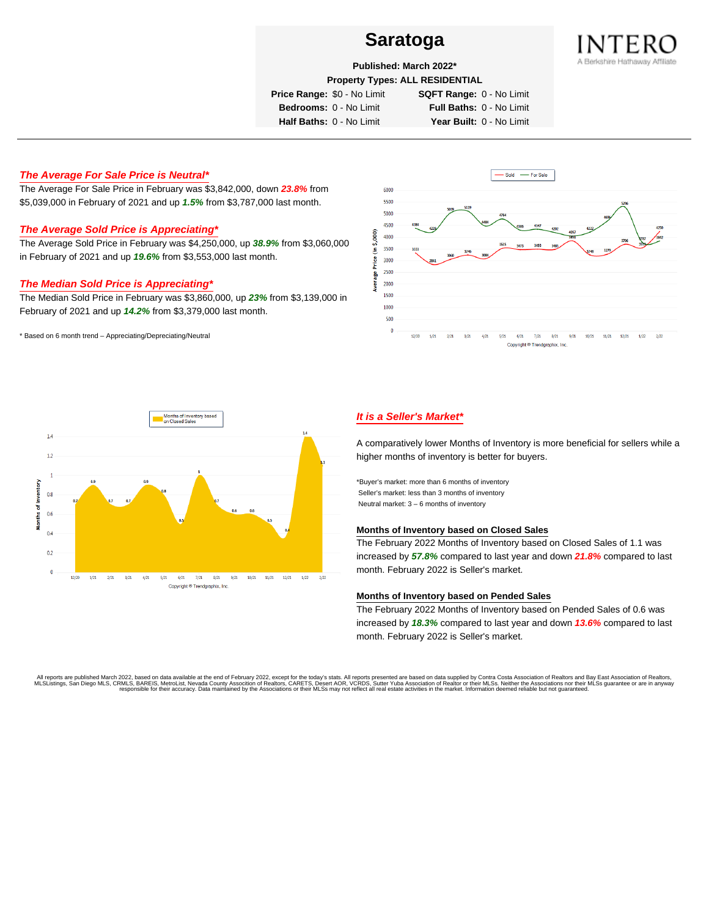

**Published: March 2022\***

**Property Types: ALL RESIDENTIAL**

**Price Range:** \$0 - No Limit **SQFT Range:** 0 - No Limit

**Bedrooms:** 0 - No Limit **Full Baths:** 0 - No Limit **Half Baths:** 0 - No Limit **Year Built:** 0 - No Limit

# **The Average For Sale Price is Neutral\***

The Average For Sale Price in February was \$3,842,000, down **23.8%** from \$5,039,000 in February of 2021 and up **1.5%** from \$3,787,000 last month.

# **The Average Sold Price is Appreciating\***

The Average Sold Price in February was \$4,250,000, up **38.9%** from \$3,060,000 in February of 2021 and up **19.6%** from \$3,553,000 last month.

## **The Median Sold Price is Appreciating\***

The Median Sold Price in February was \$3,860,000, up **23%** from \$3,139,000 in February of 2021 and up **14.2%** from \$3,379,000 last month.

\* Based on 6 month trend – Appreciating/Depreciating/Neutral





# **It is a Seller's Market\***

A comparatively lower Months of Inventory is more beneficial for sellers while a higher months of inventory is better for buyers.

\*Buyer's market: more than 6 months of inventory Seller's market: less than 3 months of inventory Neutral market: 3 – 6 months of inventory

#### **Months of Inventory based on Closed Sales**

The February 2022 Months of Inventory based on Closed Sales of 1.1 was increased by **57.8%** compared to last year and down **21.8%** compared to last month. February 2022 is Seller's market.

### **Months of Inventory based on Pended Sales**

The February 2022 Months of Inventory based on Pended Sales of 0.6 was increased by **18.3%** compared to last year and down **13.6%** compared to last month. February 2022 is Seller's market.

. All reports are published March 2022, based on data available at the end of February 2022, except for the today's stats. All reports presented are based on data supplied by Contra Costa Association of Realtors, San Bread responsible for their accuracy. Data maintained by the Associations or their MLSs may not reflect all real estate activities in the market. Information deemed reliable but not guaranteed.